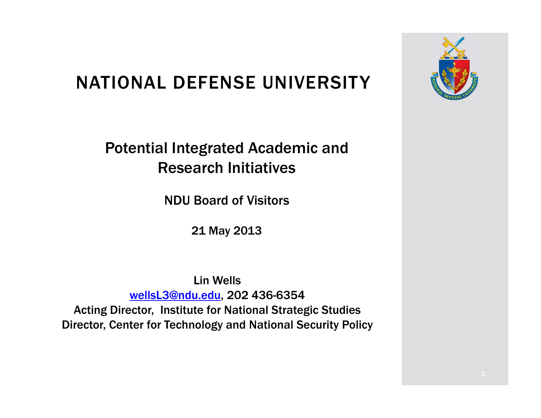### NATIONAL DEFENSE UNIVERSITY

Potential Integrated Academic and Research Initiatives

NDU Board of Visitors

21 May 2013

Lin WellswellsL3@ndu.edu, 202 436-6354 Acting Director, Institute for National Strategic Studies

Director, Center for Technology and National Security Policy

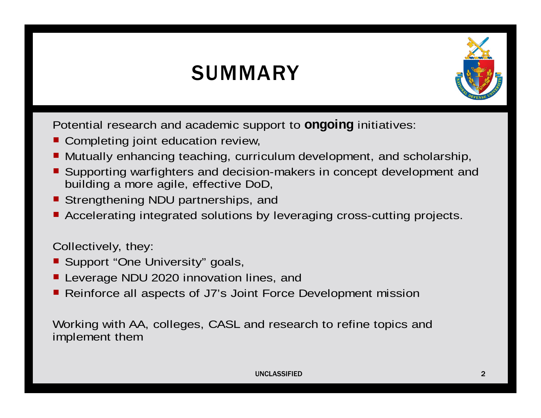### **SUMMARY**



Potential research and academic support to **ongoing** initiatives:

- Completing joint education review,
- Mutually enhancing teaching, curriculum development, and scholarship,
- Supporting warfighters and decision-makers in concept development and building a more agile, effective DoD,
- Strengthening NDU partnerships, and
- Accelerating integrated solutions by leveraging cross-cutting projects.

Collectively, they:

- Support "One University" goals,
- Leverage NDU 2020 innovation lines, and
- Reinforce all aspects of J7's Joint Force Development mission

Working with AA, colleges, CASL and research to refine topics and implement them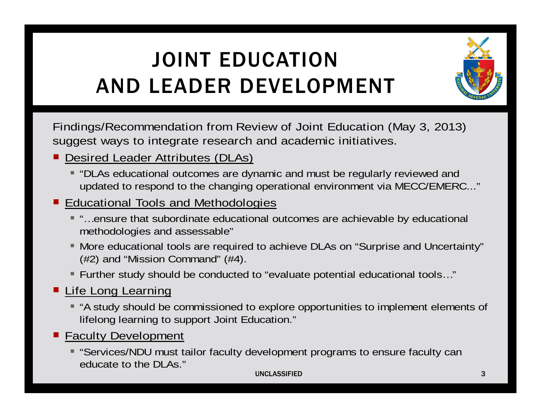# JOINT EDUCATION AND LEADER DEVELOPMENT



Findings/Recommendation from Review of Joint Education (May 3, 2013) suggest ways to integrate research and academic initiatives.

- Desired Leader Attributes (DLAs)
	- $\hspace{0.1mm}$  "DLAs educational outcomes are dynamic and must be regularly reviewed and updated to respond to the changing operational environment via MECC/EMERC..."

### **Educational Tools and Methodologies**

- "…ensure that subordinate educational outcomes are achievable by educational methodologies and assessable"
- More educational tools are required to achieve DLAs on "Surprise and Uncertainty" (#2) and "Mission Command" (#4).
- Further study should be conducted to "evaluate potential educational tools…"
- **E** Life Long Learning
	- "A study should be commissioned to explore opportunities to implement elements of lifelong learning to support Joint Education."
- **Faculty Development** 
	- "Services/NDU must tailor faculty development programs to ensure faculty can educate to the DLAs."

#### UNCLASSIFIED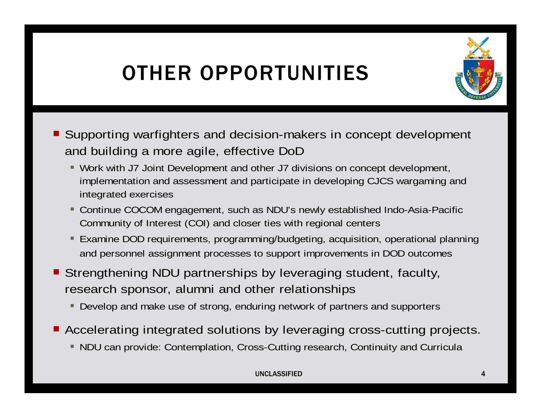## OTHER OPPORTUNITIES



- Supporting warfighters and decision-makers in concept development and building a more agile, effective DoD
	- Work with J7 Joint Development and other J7 divisions on concept development, implementation and assessment and participate in developing CJCS wargaming and integrated exercises
	- Continue COCOM engagement, such as NDU's newly established Indo-Asia-Pacific Community of Interest (COI) and closer ties with regional centers
	- Examine DOD requirements, programming/budgeting, acquisition, operational planning and personnel assignment processes to support improvements in DOD outcomes
- Strengthening NDU partnerships by leveraging student, faculty, research sponsor, alumni and other relationships
	- Develop and make use of strong, enduring network of partners and supporters
- Accelerating integrated solutions by leveraging cross-cutting projects.
	- NDU can provide: Contemplation, Cross-Cutting research, Continuity and Curricula